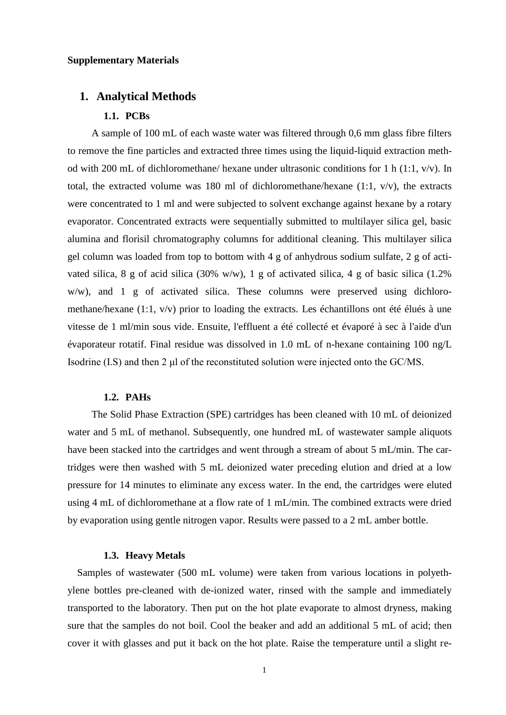### **Supplementary Materials**

### **1. Analytical Methods**

### **1.1. PCBs**

A sample of 100 mL of each waste water was filtered through 0,6 mm glass fibre filters to remove the fine particles and extracted three times using the liquid-liquid extraction method with 200 mL of dichloromethane/ hexane under ultrasonic conditions for 1 h (1:1,  $v/v$ ). In total, the extracted volume was 180 ml of dichloromethane/hexane (1:1, v/v), the extracts were concentrated to 1 ml and were subjected to solvent exchange against hexane by a rotary evaporator. Concentrated extracts were sequentially submitted to multilayer silica gel, basic alumina and florisil chromatography columns for additional cleaning. This multilayer silica gel column was loaded from top to bottom with 4 g of anhydrous sodium sulfate, 2 g of activated silica, 8 g of acid silica (30% w/w), 1 g of activated silica, 4 g of basic silica (1.2% w/w), and 1 g of activated silica. These columns were preserved using dichloromethane/hexane (1:1, v/v) prior to loading the extracts. Les échantillons ont été élués à une vitesse de 1 ml/min sous vide. Ensuite, l'effluent a été collecté et évaporé à sec à l'aide d'un évaporateur rotatif. Final residue was dissolved in 1.0 mL of n-hexane containing 100 ng/L Isodrine (I.S) and then 2 μl of the reconstituted solution were injected onto the GC/MS.

### **1.2. PAHs**

The Solid Phase Extraction (SPE) cartridges has been cleaned with 10 mL of deionized water and 5 mL of methanol. Subsequently, one hundred mL of wastewater sample aliquots have been stacked into the cartridges and went through a stream of about 5 mL/min. The cartridges were then washed with 5 mL deionized water preceding elution and dried at a low pressure for 14 minutes to eliminate any excess water. In the end, the cartridges were eluted using 4 mL of dichloromethane at a flow rate of 1 mL/min. The combined extracts were dried by evaporation using gentle nitrogen vapor. Results were passed to a 2 mL amber bottle.

### **1.3. Heavy Metals**

Samples of wastewater (500 mL volume) were taken from various locations in polyethylene bottles pre-cleaned with de-ionized water, rinsed with the sample and immediately transported to the laboratory. Then put on the hot plate evaporate to almost dryness, making sure that the samples do not boil. Cool the beaker and add an additional 5 mL of acid; then cover it with glasses and put it back on the hot plate. Raise the temperature until a slight re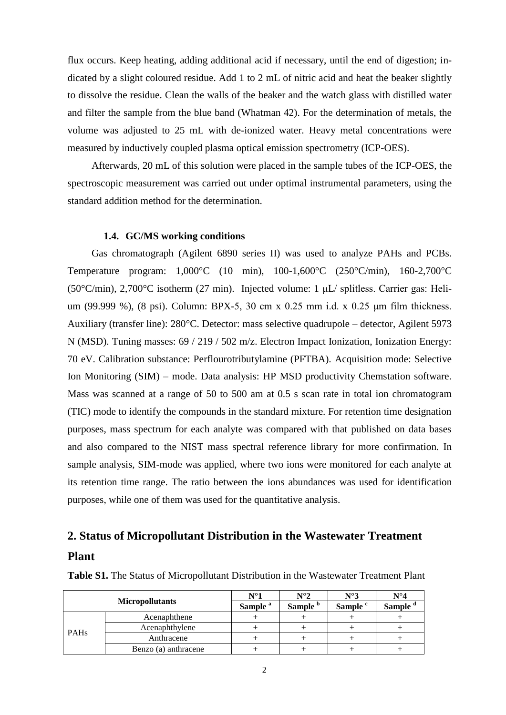flux occurs. Keep heating, adding additional acid if necessary, until the end of digestion; indicated by a slight coloured residue. Add 1 to 2 mL of nitric acid and heat the beaker slightly to dissolve the residue. Clean the walls of the beaker and the watch glass with distilled water and filter the sample from the blue band (Whatman 42). For the determination of metals, the volume was adjusted to 25 mL with de-ionized water. Heavy metal concentrations were measured by inductively coupled plasma optical emission spectrometry (ICP-OES).

Afterwards, 20 mL of this solution were placed in the sample tubes of the ICP-OES, the spectroscopic measurement was carried out under optimal instrumental parameters, using the standard addition method for the determination.

#### **1.4. GC/MS working conditions**

Gas chromatograph (Agilent 6890 series II) was used to analyze PAHs and PCBs. Temperature program: 1,000°C (10 min), 100-1,600°C (250°C/min), 160-2,700°C (50°C/min), 2,700°C isotherm (27 min). Injected volume: 1 μL/ splitless. Carrier gas: Helium (99.999 %), (8 psi). Column: BPX-5, 30 cm x 0.25 mm i.d. x 0.25 μm film thickness. Auxiliary (transfer line): 280°C. Detector: mass selective quadrupole – detector, Agilent 5973 N (MSD). Tuning masses: 69 / 219 / 502 m/z. Electron Impact Ionization, Ionization Energy: 70 eV. Calibration substance: Perflourotributylamine (PFTBA). Acquisition mode: Selective Ion Monitoring (SIM) – mode. Data analysis: HP MSD productivity Chemstation software. Mass was scanned at a range of 50 to 500 am at 0.5 s scan rate in total ion chromatogram (TIC) mode to identify the compounds in the standard mixture. For retention time designation purposes, mass spectrum for each analyte was compared with that published on data bases and also compared to the NIST mass spectral reference library for more confirmation. In sample analysis, SIM-mode was applied, where two ions were monitored for each analyte at its retention time range. The ratio between the ions abundances was used for identification purposes, while one of them was used for the quantitative analysis.

## **2. Status of Micropollutant Distribution in the Wastewater Treatment Plant**

|             |                        | $\mathrm{N}^\circ\!\mathrm{1}$ | $N^{\circ}2$        | $N^{\circ}3$        | $N^{\circ}4$  |
|-------------|------------------------|--------------------------------|---------------------|---------------------|---------------|
|             | <b>Micropollutants</b> | Sample <sup>a</sup>            | Sample <sup>b</sup> | Sample <sup>c</sup> | <b>Sample</b> |
|             | Acenaphthene           |                                |                     |                     |               |
| <b>PAHs</b> | Acenaphthylene         |                                |                     |                     |               |
|             | Anthracene             |                                |                     |                     |               |
|             | Benzo (a) anthracene   |                                |                     |                     |               |

**Table S1.** The Status of Micropollutant Distribution in the Wastewater Treatment Plant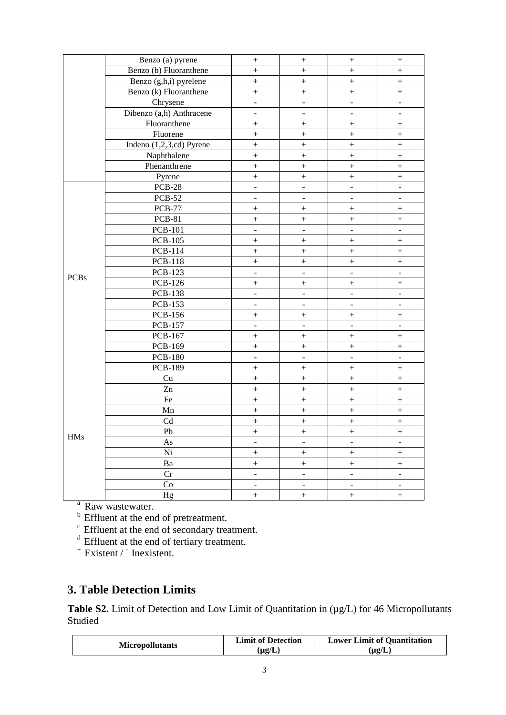|             | Benzo (a) pyrene           | $\boldsymbol{+}$         | $\boldsymbol{+}$         | $\boldsymbol{+}$             | $\boldsymbol{+}$          |
|-------------|----------------------------|--------------------------|--------------------------|------------------------------|---------------------------|
|             | Benzo (b) Fluoranthene     | $\ddot{}$                | $\qquad \qquad +$        | $\qquad \qquad +$            | $\ddot{}$                 |
|             | Benzo (g,h,i) pyrelene     | $\ddot{}$                | $\qquad \qquad +$        | $\qquad \qquad +$            | $\ddot{}$                 |
|             | Benzo (k) Fluoranthene     | $\ddot{}$                | $\ddot{}$                | $\qquad \qquad +$            | $\qquad \qquad +$         |
|             | Chrysene                   | $\overline{\phantom{a}}$ | $\overline{a}$           | $\overline{\phantom{a}}$     |                           |
|             | Dibenzo (a,h) Anthracene   | $\overline{a}$           | $\overline{a}$           | $\overline{\phantom{0}}$     | $\overline{\phantom{0}}$  |
|             | Fluoranthene               | $\qquad \qquad +$        | $\qquad \qquad +$        | $\qquad \qquad +$            | $\qquad \qquad +$         |
|             | Fluorene                   | $^{+}$                   | $\boldsymbol{+}$         | $\boldsymbol{+}$             | $^{+}$                    |
|             | Indeno $(1,2,3,cd)$ Pyrene | $\qquad \qquad +$        | $\qquad \qquad +$        | $\! + \!$                    | $\qquad \qquad +$         |
|             | Naphthalene                | $\ddot{}$                | $\qquad \qquad +$        | $\qquad \qquad +$            | $\qquad \qquad +$         |
|             | Phenanthrene               | $\boldsymbol{+}$         | $\qquad \qquad +$        | $\boldsymbol{+}$             | $\boldsymbol{+}$          |
|             | Pyrene                     | $^{+}$                   | $\! + \!$                | $\boldsymbol{+}$             | $^{+}$                    |
|             | <b>PCB-28</b>              | ÷,                       | ÷,                       | ÷,                           | $\overline{\phantom{0}}$  |
|             | <b>PCB-52</b>              | ÷,                       | $\overline{\phantom{a}}$ | $\qquad \qquad \blacksquare$ | $\overline{\phantom{0}}$  |
|             | <b>PCB-77</b>              | $\ddot{}$                | $\qquad \qquad +$        | $\qquad \qquad +$            | $\ddot{}$                 |
|             | <b>PCB-81</b>              | $\bar{+}$                | $\qquad \qquad +$        | $\qquad \qquad +$            | $^{+}$                    |
|             | <b>PCB-101</b>             | ÷,                       | $\blacksquare$           |                              |                           |
|             | <b>PCB-105</b>             | $\qquad \qquad +$        | $\qquad \qquad +$        | $\qquad \qquad +$            | $\qquad \qquad +$         |
|             | <b>PCB-114</b>             | $\qquad \qquad +$        | $^{+}$                   | $\boldsymbol{+}$             | $\qquad \qquad +$         |
|             | <b>PCB-118</b>             | $\boldsymbol{+}$         | $\boldsymbol{+}$         | $\boldsymbol{+}$             | $\qquad \qquad +$         |
| <b>PCBs</b> | <b>PCB-123</b>             | $\mathbb{Z}^d$           | $\Box$                   | $\Box$                       | $\Box$                    |
|             | <b>PCB-126</b>             | $\! + \!$                | $\qquad \qquad +$        | $\boldsymbol{+}$             | $\! + \!$                 |
|             | <b>PCB-138</b>             | $\blacksquare$           | $\blacksquare$           | $\blacksquare$               | $\overline{\phantom{a}}$  |
|             | <b>PCB-153</b>             | $\overline{a}$           | $\overline{\phantom{a}}$ | $\overline{a}$               | $\overline{a}$            |
|             | <b>PCB-156</b>             | $\boldsymbol{+}$         | $\boldsymbol{+}$         | $\boldsymbol{+}$             | $\boldsymbol{+}$          |
|             | <b>PCB-157</b>             | $\blacksquare$           | $\blacksquare$           | $\blacksquare$               | ÷,                        |
|             | PCB-167                    | $\ddot{}$                | $\qquad \qquad +$        | $\qquad \qquad +$            | $^{+}$                    |
|             | PCB-169                    | $^{+}$                   | $\qquad \qquad +$        | $\qquad \qquad +$            | $\! + \!$                 |
|             | <b>PCB-180</b>             | $\overline{\phantom{0}}$ | ÷,                       | $\overline{a}$               |                           |
|             | <b>PCB-189</b>             | $\qquad \qquad +$        | $\qquad \qquad +$        | $\! +$                       | $\qquad \qquad +$         |
|             | Cu                         | $\qquad \qquad +$        | $\boldsymbol{+}$         | $\boldsymbol{+}$             | $\qquad \qquad +$         |
|             | Zn                         | $\boldsymbol{+}$         | $\boldsymbol{+}$         | $\boldsymbol{+}$             | $\boldsymbol{+}$          |
|             | Fe                         | $\qquad \qquad +$        | $\! + \!$                | $\! + \!$                    | $\qquad \qquad +$         |
|             | Mn                         | $\! + \!$                | $\qquad \qquad +$        | $\boldsymbol{+}$             | $\boldsymbol{+}$          |
|             | $\ensuremath{\mathrm{Cd}}$ | $\boldsymbol{+}$         | $\boldsymbol{+}$         | $\boldsymbol{+}$             | $\! + \!$                 |
| <b>HMs</b>  | ${\rm Pb}$                 | $\qquad \qquad +$        | $\qquad \qquad +$        | $\boldsymbol{+}$             | $\qquad \qquad +$         |
|             | As                         | $\overline{a}$           | $\overline{a}$           | $\overline{a}$               | $\overline{\phantom{a}}$  |
|             | Ni                         | $^{+}$                   | $\boldsymbol{+}$         | $\boldsymbol{+}$             | $\boldsymbol{+}$          |
|             | Ba                         | $^{+}$                   | $\boldsymbol{+}$         | $\boldsymbol{+}$             | $^{+}$                    |
|             | Cr                         | $\omega$                 | $\omega$                 | $\overline{\phantom{a}}$     | $\mathbb{L}^{\mathbb{N}}$ |
|             | Co                         | $\blacksquare$           | $\overline{\phantom{a}}$ | $\overline{\phantom{a}}$     | $\blacksquare$            |
|             | Hg                         | $^{+}$                   | $^{+}$                   | $\qquad \qquad +$            | $^{+}$                    |

<sup>a</sup> Raw wastewater.

<sup>b</sup> Effluent at the end of pretreatment.

 $c$  Effluent at the end of secondary treatment.

 $d$  Effluent at the end of tertiary treatment.

 $+$  Existent /  $\overline{\phantom{a}}$  Inexistent.

### **3. Table Detection Limits**

Table S2. Limit of Detection and Low Limit of Quantitation in (µg/L) for 46 Micropollutants Studied

|                        | <b>Limit of Detection</b> | <b>Lower Limit of Quantitation</b> |  |  |
|------------------------|---------------------------|------------------------------------|--|--|
| <b>Micropollutants</b> | $\mu$ g/I                 | $\mu$ g/L                          |  |  |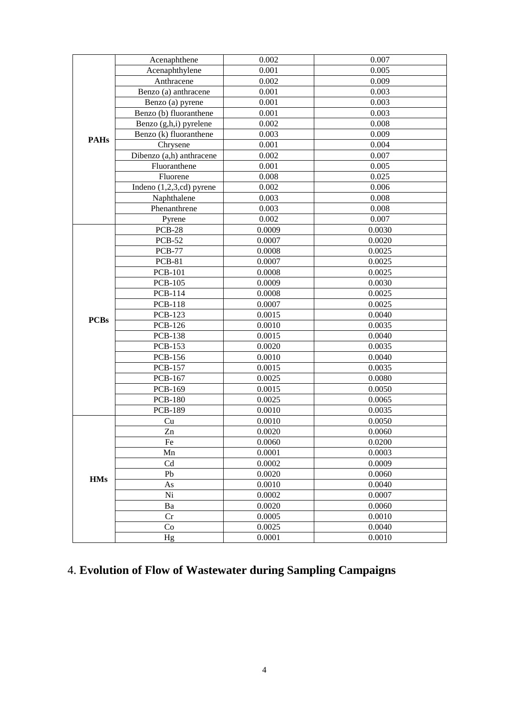|             | Acenaphthene               | 0.002  | 0.007  |  |  |  |
|-------------|----------------------------|--------|--------|--|--|--|
|             | Acenaphthylene             | 0.001  | 0.005  |  |  |  |
|             | Anthracene                 | 0.002  | 0.009  |  |  |  |
|             | Benzo (a) anthracene       | 0.001  | 0.003  |  |  |  |
|             | Benzo (a) pyrene           | 0.001  | 0.003  |  |  |  |
|             | Benzo (b) fluoranthene     | 0.001  | 0.003  |  |  |  |
|             | Benzo (g,h,i) pyrelene     | 0.002  | 0.008  |  |  |  |
|             | Benzo (k) fluoranthene     | 0.003  | 0.009  |  |  |  |
| <b>PAHs</b> | Chrysene                   | 0.001  | 0.004  |  |  |  |
|             | Dibenzo (a,h) anthracene   | 0.002  | 0.007  |  |  |  |
|             | Fluoranthene               | 0.001  | 0.005  |  |  |  |
|             | Fluorene                   | 0.008  | 0.025  |  |  |  |
|             | Indeno $(1,2,3,cd)$ pyrene | 0.002  | 0.006  |  |  |  |
|             | Naphthalene                | 0.003  | 0.008  |  |  |  |
|             | Phenanthrene               | 0.003  | 0.008  |  |  |  |
|             | Pyrene                     | 0.002  | 0.007  |  |  |  |
|             | <b>PCB-28</b>              | 0.0009 | 0.0030 |  |  |  |
|             | <b>PCB-52</b>              | 0.0007 | 0.0020 |  |  |  |
|             | <b>PCB-77</b>              | 0.0008 | 0.0025 |  |  |  |
|             | <b>PCB-81</b>              | 0.0007 | 0.0025 |  |  |  |
|             | <b>PCB-101</b>             | 0.0008 | 0.0025 |  |  |  |
|             | <b>PCB-105</b>             | 0.0009 | 0.0030 |  |  |  |
|             | <b>PCB-114</b>             | 0.0008 | 0.0025 |  |  |  |
|             | <b>PCB-118</b>             | 0.0007 | 0.0025 |  |  |  |
|             | <b>PCB-123</b>             | 0.0015 | 0.0040 |  |  |  |
| <b>PCBs</b> | <b>PCB-126</b>             | 0.0010 | 0.0035 |  |  |  |
|             | <b>PCB-138</b>             | 0.0015 | 0.0040 |  |  |  |
|             | <b>PCB-153</b>             | 0.0020 | 0.0035 |  |  |  |
|             | <b>PCB-156</b>             | 0.0010 | 0.0040 |  |  |  |
|             | <b>PCB-157</b>             | 0.0015 | 0.0035 |  |  |  |
|             | <b>PCB-167</b>             | 0.0025 | 0.0080 |  |  |  |
|             | <b>PCB-169</b>             | 0.0015 | 0.0050 |  |  |  |
|             | <b>PCB-180</b>             | 0.0025 | 0.0065 |  |  |  |
|             | <b>PCB-189</b>             | 0.0010 | 0.0035 |  |  |  |
|             | Cu                         | 0.0010 | 0.0050 |  |  |  |
|             | Z <sub>n</sub>             | 0.0020 | 0.0060 |  |  |  |
|             | Fe                         | 0.0060 | 0.0200 |  |  |  |
|             | Mn                         | 0.0001 | 0.0003 |  |  |  |
|             | $\ensuremath{\mathrm{Cd}}$ | 0.0002 | 0.0009 |  |  |  |
|             | Pb                         | 0.0020 | 0.0060 |  |  |  |
| <b>HMs</b>  | As                         | 0.0010 | 0.0040 |  |  |  |
|             | Ni                         | 0.0002 | 0.0007 |  |  |  |
|             | Ba                         | 0.0020 | 0.0060 |  |  |  |
|             | Cr                         | 0.0005 | 0.0010 |  |  |  |
|             | Co                         | 0.0025 | 0.0040 |  |  |  |
|             | Hg                         | 0.0001 | 0.0010 |  |  |  |
|             |                            |        |        |  |  |  |

# 4. **Evolution of Flow of Wastewater during Sampling Campaigns**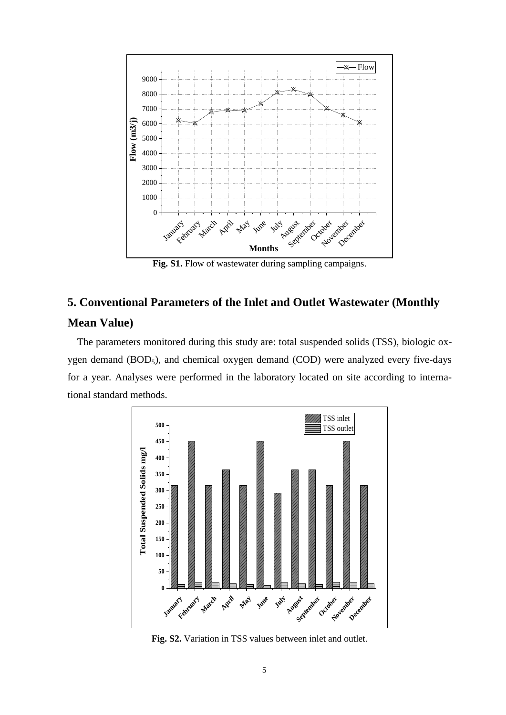

Fig. S1. Flow of wastewater during sampling campaigns.

## **5. Conventional Parameters of the Inlet and Outlet Wastewater (Monthly Mean Value)**

The parameters monitored during this study are: total suspended solids (TSS), biologic oxygen demand  $(BOD<sub>5</sub>)$ , and chemical oxygen demand  $(COD)$  were analyzed every five-days for a year. Analyses were performed in the laboratory located on site according to international standard methods.



**Fig. S2.** Variation in TSS values between inlet and outlet.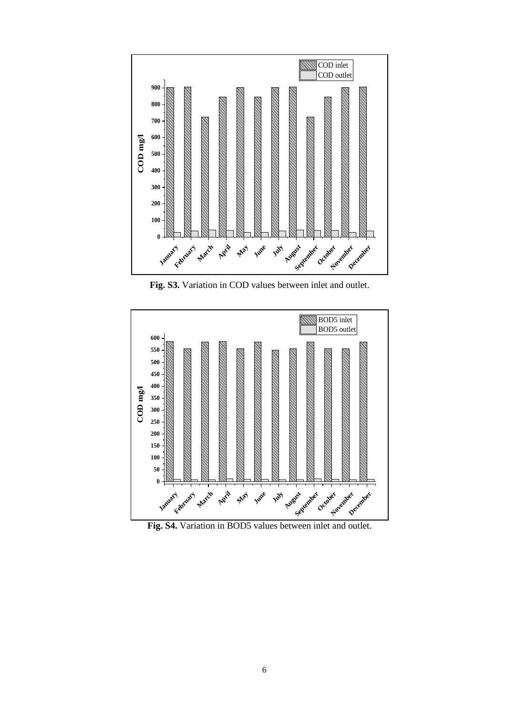

**Fig. S3.** Variation in COD values between inlet and outlet.